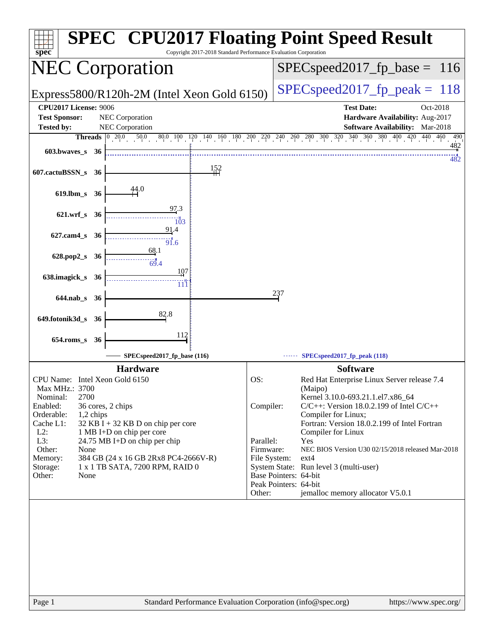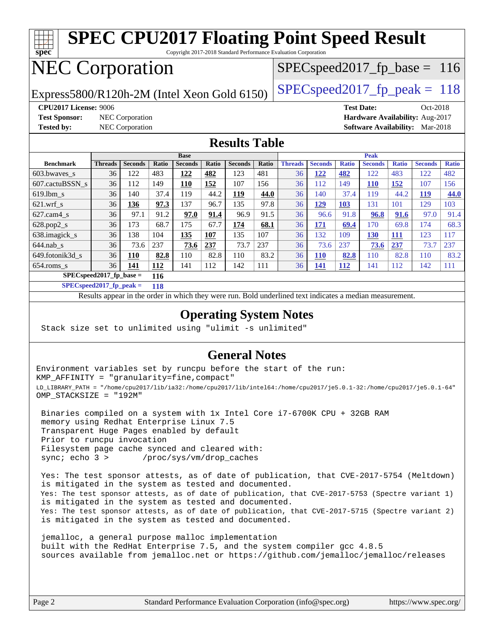

Page 2 Standard Performance Evaluation Corporation [\(info@spec.org\)](mailto:info@spec.org) <https://www.spec.org/>

| <b>Benchmark</b>                                                                                         | <b>Threads</b> | <b>Seconds</b> | Ratio | <b>Seconds</b> | Ratio | <b>Seconds</b> | Ratio | <b>Threads</b> | <b>Seconds</b> | <b>Ratio</b> | <b>Seconds</b> | <b>Ratio</b> | <b>Seconds</b> | <b>Ratio</b> |
|----------------------------------------------------------------------------------------------------------|----------------|----------------|-------|----------------|-------|----------------|-------|----------------|----------------|--------------|----------------|--------------|----------------|--------------|
| $603.bwaves$ s                                                                                           | 36             | 122            | 483   | 122            | 482   | 123            | 481   | 36             | 122            | 482          | 122            | 483          | 122            | 482          |
| 607.cactuBSSN s                                                                                          | 36             | 112            | 149   | 110            | 152   | 107            | 156   | 36             | 112            | 149          | <b>110</b>     | 152          | 107            | 156          |
| $619.1$ bm s                                                                                             | 36             | 140            | 37.4  | 119            | 44.2  | <u> 119</u>    | 44.0  | 36             | 140            | 37.4         | 119            | 44.2         | 119            | 44.0         |
| $621.wrf$ s                                                                                              | 36             | 136            | 97.3  | 137            | 96.7  | 135            | 97.8  | 36             | <u> 129</u>    | <b>103</b>   | 131            | 101          | 129            | 103          |
| $627$ .cam $4$ <sub>s</sub>                                                                              | 36             | 97.1           | 91.2  | 97.0           | 91.4  | 96.9           | 91.5  | 36             | 96.6           | 91.8         | 96.8           | 91.6         | 97.0           | 91.4         |
| $628.pop2_s$                                                                                             | 36             | 173            | 68.7  | 175            | 67.7  | 174            | 68.1  | 36             | 171            | 69.4         | 170            | 69.8         | 174            | 68.3         |
| 638.imagick_s                                                                                            | 36             | 138            | 104   | 135            | 107   | 135            | 107   | 36             | 132            | 109          | 130            | <b>111</b>   | 123            | 117          |
| $644$ .nab_s                                                                                             | 36             | 73.6           | 237   | 73.6           | 237   | 73.7           | 237   | 36             | 73.6           | 237          | 73.6           | 237          | 73.7           | 237          |
| 649.fotonik3d s                                                                                          | 36             | 110            | 82.8  | 110            | 82.8  | 110            | 83.2  | 36             | <b>110</b>     | 82.8         | 110            | 82.8         | 110            | 83.2         |
| $654$ .roms s                                                                                            | 36             | <u> 141</u>    | 112   | 141            | 112   | 142            | 111   | 36             | <u>141</u>     | <u>112</u>   | 141            | 112          | 142            | 111          |
| $SPECspeed2017$ fp base =<br>116                                                                         |                |                |       |                |       |                |       |                |                |              |                |              |                |              |
| SPECspeed 2017 fp peak $=$<br>118                                                                        |                |                |       |                |       |                |       |                |                |              |                |              |                |              |
| Results appear in the order in which they were run. Bold underlined text indicates a median measurement. |                |                |       |                |       |                |       |                |                |              |                |              |                |              |

## **[Operating System Notes](http://www.spec.org/auto/cpu2017/Docs/result-fields.html#OperatingSystemNotes)**

Stack size set to unlimited using "ulimit -s unlimited"

### **[General Notes](http://www.spec.org/auto/cpu2017/Docs/result-fields.html#GeneralNotes)**

Environment variables set by runcpu before the start of the run: KMP\_AFFINITY = "granularity=fine,compact" LD\_LIBRARY\_PATH = "/home/cpu2017/lib/ia32:/home/cpu2017/lib/intel64:/home/cpu2017/je5.0.1-32:/home/cpu2017/je5.0.1-64" OMP\_STACKSIZE = "192M"

 Binaries compiled on a system with 1x Intel Core i7-6700K CPU + 32GB RAM memory using Redhat Enterprise Linux 7.5 Transparent Huge Pages enabled by default Prior to runcpu invocation Filesystem page cache synced and cleared with: sync; echo 3 > /proc/sys/vm/drop\_caches

 Yes: The test sponsor attests, as of date of publication, that CVE-2017-5754 (Meltdown) is mitigated in the system as tested and documented. Yes: The test sponsor attests, as of date of publication, that CVE-2017-5753 (Spectre variant 1) is mitigated in the system as tested and documented. Yes: The test sponsor attests, as of date of publication, that CVE-2017-5715 (Spectre variant 2) is mitigated in the system as tested and documented.

 jemalloc, a general purpose malloc implementation built with the RedHat Enterprise 7.5, and the system compiler gcc 4.8.5 sources available from jemalloc.net or <https://github.com/jemalloc/jemalloc/releases>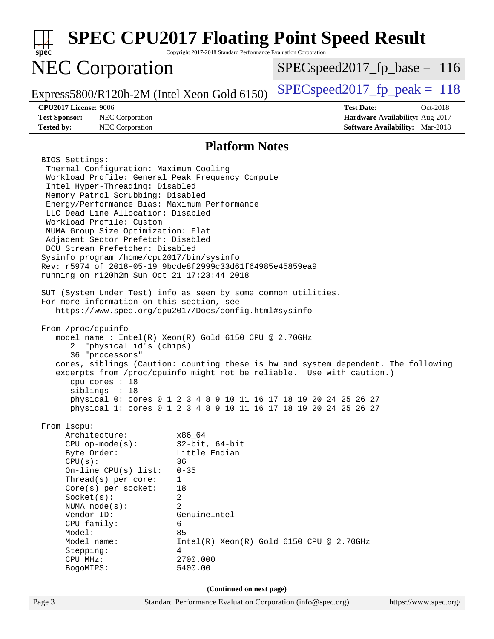| $spec*$                                                                                                                                                                                                                                                                                                                                                                                                                                                                                                                                                                                                                                                                                                                                                                                                                                                                                                                                                                                                                                                                                                                                                                                                      | Copyright 2017-2018 Standard Performance Evaluation Corporation                                                                                            | <b>SPEC CPU2017 Floating Point Speed Result</b>                                                                                                                                                                                                                                                                                                   |                       |  |  |  |  |  |
|--------------------------------------------------------------------------------------------------------------------------------------------------------------------------------------------------------------------------------------------------------------------------------------------------------------------------------------------------------------------------------------------------------------------------------------------------------------------------------------------------------------------------------------------------------------------------------------------------------------------------------------------------------------------------------------------------------------------------------------------------------------------------------------------------------------------------------------------------------------------------------------------------------------------------------------------------------------------------------------------------------------------------------------------------------------------------------------------------------------------------------------------------------------------------------------------------------------|------------------------------------------------------------------------------------------------------------------------------------------------------------|---------------------------------------------------------------------------------------------------------------------------------------------------------------------------------------------------------------------------------------------------------------------------------------------------------------------------------------------------|-----------------------|--|--|--|--|--|
| <b>NEC Corporation</b>                                                                                                                                                                                                                                                                                                                                                                                                                                                                                                                                                                                                                                                                                                                                                                                                                                                                                                                                                                                                                                                                                                                                                                                       |                                                                                                                                                            | $SPEC speed2017_fp\_base = 116$                                                                                                                                                                                                                                                                                                                   |                       |  |  |  |  |  |
| Express5800/R120h-2M (Intel Xeon Gold 6150)                                                                                                                                                                                                                                                                                                                                                                                                                                                                                                                                                                                                                                                                                                                                                                                                                                                                                                                                                                                                                                                                                                                                                                  |                                                                                                                                                            | $SPEC speed2017_fp\_peak = 118$                                                                                                                                                                                                                                                                                                                   |                       |  |  |  |  |  |
| <b>CPU2017 License: 9006</b><br><b>Test Sponsor:</b><br>NEC Corporation<br><b>Tested by:</b><br>NEC Corporation                                                                                                                                                                                                                                                                                                                                                                                                                                                                                                                                                                                                                                                                                                                                                                                                                                                                                                                                                                                                                                                                                              |                                                                                                                                                            | <b>Test Date:</b><br>Hardware Availability: Aug-2017<br>Software Availability: Mar-2018                                                                                                                                                                                                                                                           | Oct-2018              |  |  |  |  |  |
| <b>Platform Notes</b>                                                                                                                                                                                                                                                                                                                                                                                                                                                                                                                                                                                                                                                                                                                                                                                                                                                                                                                                                                                                                                                                                                                                                                                        |                                                                                                                                                            |                                                                                                                                                                                                                                                                                                                                                   |                       |  |  |  |  |  |
| BIOS Settings:<br>Thermal Configuration: Maximum Cooling<br>Workload Profile: General Peak Frequency Compute<br>Intel Hyper-Threading: Disabled<br>Memory Patrol Scrubbing: Disabled<br>Energy/Performance Bias: Maximum Performance<br>LLC Dead Line Allocation: Disabled<br>Workload Profile: Custom<br>NUMA Group Size Optimization: Flat<br>Adjacent Sector Prefetch: Disabled<br>DCU Stream Prefetcher: Disabled<br>Sysinfo program /home/cpu2017/bin/sysinfo<br>Rev: r5974 of 2018-05-19 9bcde8f2999c33d61f64985e45859ea9<br>running on r120h2m Sun Oct 21 17:23:44 2018<br>SUT (System Under Test) info as seen by some common utilities.<br>For more information on this section, see<br>https://www.spec.org/cpu2017/Docs/config.html#sysinfo<br>From /proc/cpuinfo<br>model name : Intel(R) Xeon(R) Gold 6150 CPU @ 2.70GHz<br>"physical id"s (chips)<br>2<br>36 "processors"<br>$cpu$ cores : 18<br>siblings : 18<br>From 1scpu:<br>Architecture:<br>$CPU$ op-mode(s):<br>Byte Order:<br>CPU(s):<br>On-line CPU(s) list:<br>Thread(s) per core:<br>Core(s) per socket:<br>Socket(s):<br>NUMA node(s):<br>Vendor ID:<br>CPU family:<br>Model:<br>Model name:<br>Stepping:<br>CPU MHz:<br>BogoMIPS: | x86 64<br>$32$ -bit, $64$ -bit<br>Little Endian<br>36<br>$0 - 35$<br>1<br>18<br>2<br>$\overline{2}$<br>GenuineIntel<br>6<br>85<br>4<br>2700.000<br>5400.00 | cores, siblings (Caution: counting these is hw and system dependent. The following<br>excerpts from /proc/cpuinfo might not be reliable. Use with caution.)<br>physical 0: cores 0 1 2 3 4 8 9 10 11 16 17 18 19 20 24 25 26 27<br>physical 1: cores 0 1 2 3 4 8 9 10 11 16 17 18 19 20 24 25 26 27<br>$Intel(R) Xeon(R) Gold 6150 CPU @ 2.70GHz$ |                       |  |  |  |  |  |
|                                                                                                                                                                                                                                                                                                                                                                                                                                                                                                                                                                                                                                                                                                                                                                                                                                                                                                                                                                                                                                                                                                                                                                                                              | (Continued on next page)                                                                                                                                   |                                                                                                                                                                                                                                                                                                                                                   |                       |  |  |  |  |  |
| Page 3                                                                                                                                                                                                                                                                                                                                                                                                                                                                                                                                                                                                                                                                                                                                                                                                                                                                                                                                                                                                                                                                                                                                                                                                       | Standard Performance Evaluation Corporation (info@spec.org)                                                                                                |                                                                                                                                                                                                                                                                                                                                                   | https://www.spec.org/ |  |  |  |  |  |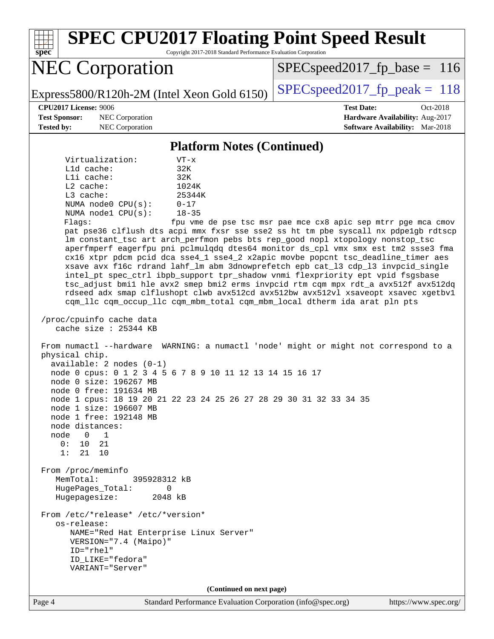Page 4 Standard Performance Evaluation Corporation [\(info@spec.org\)](mailto:info@spec.org) <https://www.spec.org/> **[spec](http://www.spec.org/) [SPEC CPU2017 Floating Point Speed Result](http://www.spec.org/auto/cpu2017/Docs/result-fields.html#SPECCPU2017FloatingPointSpeedResult)** Copyright 2017-2018 Standard Performance Evaluation Corporation NEC Corporation Express5800/R120h-2M (Intel Xeon Gold 6150) [SPECspeed2017\\_fp\\_peak =](http://www.spec.org/auto/cpu2017/Docs/result-fields.html#SPECspeed2017fppeak)  $118$ SPECspeed2017 fp base =  $116$ **[CPU2017 License:](http://www.spec.org/auto/cpu2017/Docs/result-fields.html#CPU2017License)** 9006 **[Test Date:](http://www.spec.org/auto/cpu2017/Docs/result-fields.html#TestDate)** Oct-2018 **[Test Sponsor:](http://www.spec.org/auto/cpu2017/Docs/result-fields.html#TestSponsor)** NEC Corporation **[Hardware Availability:](http://www.spec.org/auto/cpu2017/Docs/result-fields.html#HardwareAvailability)** Aug-2017 **[Tested by:](http://www.spec.org/auto/cpu2017/Docs/result-fields.html#Testedby)** NEC Corporation **[Software Availability:](http://www.spec.org/auto/cpu2017/Docs/result-fields.html#SoftwareAvailability)** Mar-2018 **[Platform Notes \(Continued\)](http://www.spec.org/auto/cpu2017/Docs/result-fields.html#PlatformNotes)** Virtualization: VT-x L1d cache: 32K L1i cache: 32K L2 cache: 1024K L3 cache:  $25344K$ <br>NUMA node0 CPU(s):  $0-17$ NUMA  $node0$   $CPU(s):$  NUMA node1 CPU(s): 18-35 Flags: fpu vme de pse tsc msr pae mce cx8 apic sep mtrr pge mca cmov pat pse36 clflush dts acpi mmx fxsr sse sse2 ss ht tm pbe syscall nx pdpe1gb rdtscp lm constant\_tsc art arch\_perfmon pebs bts rep\_good nopl xtopology nonstop\_tsc aperfmperf eagerfpu pni pclmulqdq dtes64 monitor ds\_cpl vmx smx est tm2 ssse3 fma cx16 xtpr pdcm pcid dca sse4\_1 sse4\_2 x2apic movbe popcnt tsc\_deadline\_timer aes xsave avx f16c rdrand lahf\_lm abm 3dnowprefetch epb cat\_l3 cdp\_l3 invpcid\_single intel\_pt spec\_ctrl ibpb\_support tpr\_shadow vnmi flexpriority ept vpid fsgsbase tsc\_adjust bmi1 hle avx2 smep bmi2 erms invpcid rtm cqm mpx rdt\_a avx512f avx512dq rdseed adx smap clflushopt clwb avx512cd avx512bw avx512vl xsaveopt xsavec xgetbv1 cqm\_llc cqm\_occup\_llc cqm\_mbm\_total cqm\_mbm\_local dtherm ida arat pln pts /proc/cpuinfo cache data cache size : 25344 KB From numactl --hardware WARNING: a numactl 'node' might or might not correspond to a physical chip. available: 2 nodes (0-1) node 0 cpus: 0 1 2 3 4 5 6 7 8 9 10 11 12 13 14 15 16 17 node 0 size: 196267 MB node 0 free: 191634 MB node 1 cpus: 18 19 20 21 22 23 24 25 26 27 28 29 30 31 32 33 34 35 node 1 size: 196607 MB node 1 free: 192148 MB node distances: node 0 1 0: 10 21 1: 21 10 From /proc/meminfo MemTotal: 395928312 kB HugePages\_Total: 0 Hugepagesize: 2048 kB From /etc/\*release\* /etc/\*version\* os-release: NAME="Red Hat Enterprise Linux Server" VERSION="7.4 (Maipo)" ID="rhel" ID\_LIKE="fedora" VARIANT="Server" **(Continued on next page)**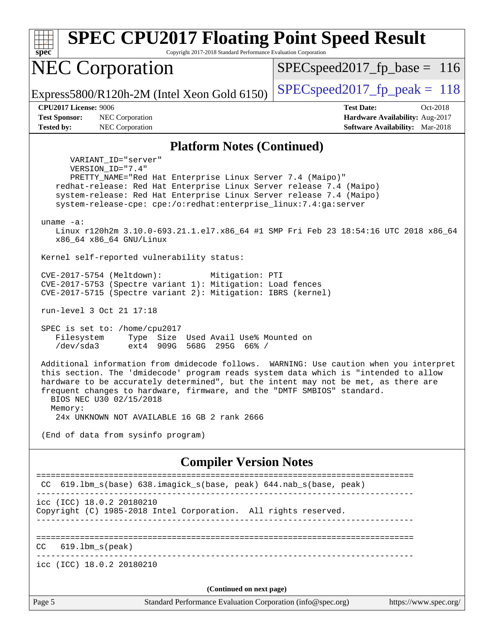Page 5 Standard Performance Evaluation Corporation [\(info@spec.org\)](mailto:info@spec.org) <https://www.spec.org/> **[spec](http://www.spec.org/) [SPEC CPU2017 Floating Point Speed Result](http://www.spec.org/auto/cpu2017/Docs/result-fields.html#SPECCPU2017FloatingPointSpeedResult)** Copyright 2017-2018 Standard Performance Evaluation Corporation NEC Corporation Express5800/R120h-2M (Intel Xeon Gold 6150)  $\left|$  [SPECspeed2017\\_fp\\_peak =](http://www.spec.org/auto/cpu2017/Docs/result-fields.html#SPECspeed2017fppeak) 118 SPECspeed2017 fp base =  $116$ **[CPU2017 License:](http://www.spec.org/auto/cpu2017/Docs/result-fields.html#CPU2017License)** 9006 **[Test Date:](http://www.spec.org/auto/cpu2017/Docs/result-fields.html#TestDate)** Oct-2018 **[Test Sponsor:](http://www.spec.org/auto/cpu2017/Docs/result-fields.html#TestSponsor)** NEC Corporation **[Hardware Availability:](http://www.spec.org/auto/cpu2017/Docs/result-fields.html#HardwareAvailability)** Aug-2017 **[Tested by:](http://www.spec.org/auto/cpu2017/Docs/result-fields.html#Testedby)** NEC Corporation **[Software Availability:](http://www.spec.org/auto/cpu2017/Docs/result-fields.html#SoftwareAvailability)** Mar-2018 **[Platform Notes \(Continued\)](http://www.spec.org/auto/cpu2017/Docs/result-fields.html#PlatformNotes)** VARIANT\_ID="server" VERSION\_ID="7.4" PRETTY\_NAME="Red Hat Enterprise Linux Server 7.4 (Maipo)" redhat-release: Red Hat Enterprise Linux Server release 7.4 (Maipo) system-release: Red Hat Enterprise Linux Server release 7.4 (Maipo) system-release-cpe: cpe:/o:redhat:enterprise\_linux:7.4:ga:server uname -a: Linux r120h2m 3.10.0-693.21.1.el7.x86\_64 #1 SMP Fri Feb 23 18:54:16 UTC 2018 x86\_64 x86\_64 x86\_64 GNU/Linux Kernel self-reported vulnerability status: CVE-2017-5754 (Meltdown): Mitigation: PTI CVE-2017-5753 (Spectre variant 1): Mitigation: Load fences CVE-2017-5715 (Spectre variant 2): Mitigation: IBRS (kernel) run-level 3 Oct 21 17:18 SPEC is set to: /home/cpu2017 Filesystem Type Size Used Avail Use% Mounted on /dev/sda3 ext4 909G 568G 295G 66% / Additional information from dmidecode follows. WARNING: Use caution when you interpret this section. The 'dmidecode' program reads system data which is "intended to allow hardware to be accurately determined", but the intent may not be met, as there are frequent changes to hardware, firmware, and the "DMTF SMBIOS" standard. BIOS NEC U30 02/15/2018 Memory: 24x UNKNOWN NOT AVAILABLE 16 GB 2 rank 2666 (End of data from sysinfo program) **[Compiler Version Notes](http://www.spec.org/auto/cpu2017/Docs/result-fields.html#CompilerVersionNotes)** ============================================================================== CC 619.1bm s(base) 638.imagick s(base, peak) 644.nab s(base, peak) ----------------------------------------------------------------------------- icc (ICC) 18.0.2 20180210 Copyright (C) 1985-2018 Intel Corporation. All rights reserved. ------------------------------------------------------------------------------ ============================================================================== CC 619.lbm\_s(peak) ----------------------------------------------------------------------------- icc (ICC) 18.0.2 20180210 **(Continued on next page)**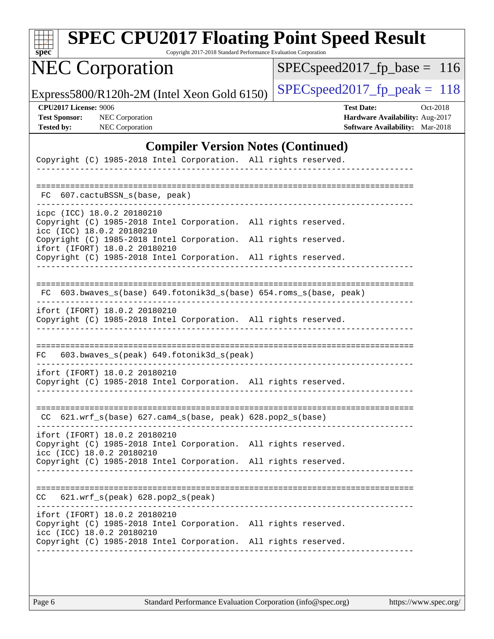| SI<br>ne<br>Ľ |  |  |  |  |  |
|---------------|--|--|--|--|--|

Copyright 2017-2018 Standard Performance Evaluation Corporation

## NEC Corporation

[SPECspeed2017\\_fp\\_base =](http://www.spec.org/auto/cpu2017/Docs/result-fields.html#SPECspeed2017fpbase) 116

Express5800/R120h-2M (Intel Xeon Gold 6150)  $\left|$  [SPECspeed2017\\_fp\\_peak =](http://www.spec.org/auto/cpu2017/Docs/result-fields.html#SPECspeed2017fppeak) 118

**[CPU2017 License:](http://www.spec.org/auto/cpu2017/Docs/result-fields.html#CPU2017License)** 9006 **[Test Date:](http://www.spec.org/auto/cpu2017/Docs/result-fields.html#TestDate)** Oct-2018 **[Test Sponsor:](http://www.spec.org/auto/cpu2017/Docs/result-fields.html#TestSponsor)** NEC Corporation **[Hardware Availability:](http://www.spec.org/auto/cpu2017/Docs/result-fields.html#HardwareAvailability)** Aug-2017 **[Tested by:](http://www.spec.org/auto/cpu2017/Docs/result-fields.html#Testedby)** NEC Corporation **[Software Availability:](http://www.spec.org/auto/cpu2017/Docs/result-fields.html#SoftwareAvailability)** Mar-2018

### **[Compiler Version Notes \(Continued\)](http://www.spec.org/auto/cpu2017/Docs/result-fields.html#CompilerVersionNotes)**

| Copyright (C) 1985-2018 Intel Corporation. All rights reserved.                                       |                      |
|-------------------------------------------------------------------------------------------------------|----------------------|
|                                                                                                       |                      |
| 607.cactuBSSN_s(base, peak)<br>FC                                                                     |                      |
|                                                                                                       |                      |
| icpc (ICC) 18.0.2 20180210<br>Copyright (C) 1985-2018 Intel Corporation.<br>icc (ICC) 18.0.2 20180210 | All rights reserved. |
| Copyright (C) 1985-2018 Intel Corporation.<br>ifort (IFORT) 18.0.2 20180210                           | All rights reserved. |
| Copyright (C) 1985-2018 Intel Corporation.                                                            | All rights reserved. |
|                                                                                                       |                      |
| 603.bwaves_s(base) 649.fotonik3d_s(base) 654.roms_s(base, peak)<br>FC                                 |                      |
| ifort (IFORT) 18.0.2 20180210<br>Copyright (C) 1985-2018 Intel Corporation. All rights reserved.      |                      |
|                                                                                                       |                      |
| 603.bwaves_s(peak) 649.fotonik3d_s(peak)<br>FC                                                        |                      |
| ifort (IFORT) 18.0.2 20180210                                                                         |                      |
| Copyright (C) 1985-2018 Intel Corporation. All rights reserved.                                       |                      |
|                                                                                                       |                      |
| CC 621.wrf_s(base) 627.cam4_s(base, peak) 628.pop2_s(base)                                            |                      |
| ifort (IFORT) 18.0.2 20180210                                                                         |                      |
| Copyright (C) 1985-2018 Intel Corporation.<br>icc (ICC) 18.0.2 20180210                               | All rights reserved. |
| Copyright (C) 1985-2018 Intel Corporation. All rights reserved.                                       |                      |
|                                                                                                       |                      |
| 621.wrf_s(peak) 628.pop2_s(peak)<br>CC.                                                               |                      |
| ifort (IFORT) 18.0.2 20180210                                                                         |                      |
| Copyright (C) 1985-2018 Intel Corporation. All rights reserved.<br>icc (ICC) 18.0.2 20180210          |                      |
| Copyright (C) 1985-2018 Intel Corporation. All rights reserved.                                       |                      |
|                                                                                                       |                      |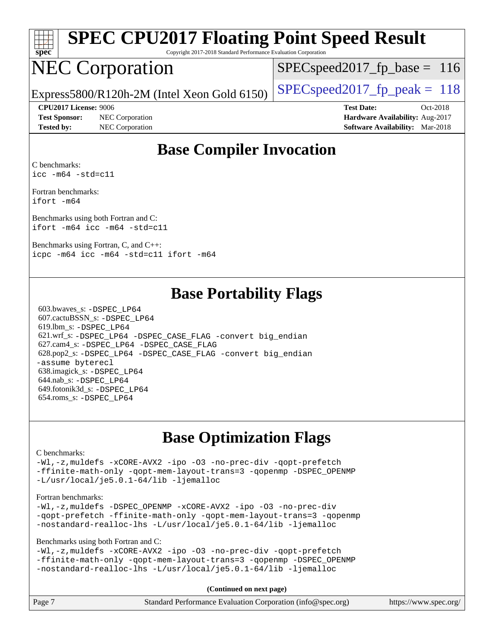

Copyright 2017-2018 Standard Performance Evaluation Corporation

## NEC Corporation

SPECspeed2017 fp base =  $116$ 

Express5800/R120h-2M (Intel Xeon Gold 6150) [SPECspeed2017\\_fp\\_peak =](http://www.spec.org/auto/cpu2017/Docs/result-fields.html#SPECspeed2017fppeak)  $118$ 

**[Test Sponsor:](http://www.spec.org/auto/cpu2017/Docs/result-fields.html#TestSponsor)** NEC Corporation **[Hardware Availability:](http://www.spec.org/auto/cpu2017/Docs/result-fields.html#HardwareAvailability)** Aug-2017

**[CPU2017 License:](http://www.spec.org/auto/cpu2017/Docs/result-fields.html#CPU2017License)** 9006 **[Test Date:](http://www.spec.org/auto/cpu2017/Docs/result-fields.html#TestDate)** Oct-2018 **[Tested by:](http://www.spec.org/auto/cpu2017/Docs/result-fields.html#Testedby)** NEC Corporation **[Software Availability:](http://www.spec.org/auto/cpu2017/Docs/result-fields.html#SoftwareAvailability)** Mar-2018

### **[Base Compiler Invocation](http://www.spec.org/auto/cpu2017/Docs/result-fields.html#BaseCompilerInvocation)**

[C benchmarks](http://www.spec.org/auto/cpu2017/Docs/result-fields.html#Cbenchmarks): [icc -m64 -std=c11](http://www.spec.org/cpu2017/results/res2018q4/cpu2017-20181029-09344.flags.html#user_CCbase_intel_icc_64bit_c11_33ee0cdaae7deeeab2a9725423ba97205ce30f63b9926c2519791662299b76a0318f32ddfffdc46587804de3178b4f9328c46fa7c2b0cd779d7a61945c91cd35)

[Fortran benchmarks](http://www.spec.org/auto/cpu2017/Docs/result-fields.html#Fortranbenchmarks): [ifort -m64](http://www.spec.org/cpu2017/results/res2018q4/cpu2017-20181029-09344.flags.html#user_FCbase_intel_ifort_64bit_24f2bb282fbaeffd6157abe4f878425411749daecae9a33200eee2bee2fe76f3b89351d69a8130dd5949958ce389cf37ff59a95e7a40d588e8d3a57e0c3fd751)

[Benchmarks using both Fortran and C](http://www.spec.org/auto/cpu2017/Docs/result-fields.html#BenchmarksusingbothFortranandC): [ifort -m64](http://www.spec.org/cpu2017/results/res2018q4/cpu2017-20181029-09344.flags.html#user_CC_FCbase_intel_ifort_64bit_24f2bb282fbaeffd6157abe4f878425411749daecae9a33200eee2bee2fe76f3b89351d69a8130dd5949958ce389cf37ff59a95e7a40d588e8d3a57e0c3fd751) [icc -m64 -std=c11](http://www.spec.org/cpu2017/results/res2018q4/cpu2017-20181029-09344.flags.html#user_CC_FCbase_intel_icc_64bit_c11_33ee0cdaae7deeeab2a9725423ba97205ce30f63b9926c2519791662299b76a0318f32ddfffdc46587804de3178b4f9328c46fa7c2b0cd779d7a61945c91cd35)

[Benchmarks using Fortran, C, and C++](http://www.spec.org/auto/cpu2017/Docs/result-fields.html#BenchmarksusingFortranCandCXX): [icpc -m64](http://www.spec.org/cpu2017/results/res2018q4/cpu2017-20181029-09344.flags.html#user_CC_CXX_FCbase_intel_icpc_64bit_4ecb2543ae3f1412ef961e0650ca070fec7b7afdcd6ed48761b84423119d1bf6bdf5cad15b44d48e7256388bc77273b966e5eb805aefd121eb22e9299b2ec9d9) [icc -m64 -std=c11](http://www.spec.org/cpu2017/results/res2018q4/cpu2017-20181029-09344.flags.html#user_CC_CXX_FCbase_intel_icc_64bit_c11_33ee0cdaae7deeeab2a9725423ba97205ce30f63b9926c2519791662299b76a0318f32ddfffdc46587804de3178b4f9328c46fa7c2b0cd779d7a61945c91cd35) [ifort -m64](http://www.spec.org/cpu2017/results/res2018q4/cpu2017-20181029-09344.flags.html#user_CC_CXX_FCbase_intel_ifort_64bit_24f2bb282fbaeffd6157abe4f878425411749daecae9a33200eee2bee2fe76f3b89351d69a8130dd5949958ce389cf37ff59a95e7a40d588e8d3a57e0c3fd751)

### **[Base Portability Flags](http://www.spec.org/auto/cpu2017/Docs/result-fields.html#BasePortabilityFlags)**

 603.bwaves\_s: [-DSPEC\\_LP64](http://www.spec.org/cpu2017/results/res2018q4/cpu2017-20181029-09344.flags.html#suite_basePORTABILITY603_bwaves_s_DSPEC_LP64) 607.cactuBSSN\_s: [-DSPEC\\_LP64](http://www.spec.org/cpu2017/results/res2018q4/cpu2017-20181029-09344.flags.html#suite_basePORTABILITY607_cactuBSSN_s_DSPEC_LP64) 619.lbm\_s: [-DSPEC\\_LP64](http://www.spec.org/cpu2017/results/res2018q4/cpu2017-20181029-09344.flags.html#suite_basePORTABILITY619_lbm_s_DSPEC_LP64) 621.wrf\_s: [-DSPEC\\_LP64](http://www.spec.org/cpu2017/results/res2018q4/cpu2017-20181029-09344.flags.html#suite_basePORTABILITY621_wrf_s_DSPEC_LP64) [-DSPEC\\_CASE\\_FLAG](http://www.spec.org/cpu2017/results/res2018q4/cpu2017-20181029-09344.flags.html#b621.wrf_s_baseCPORTABILITY_DSPEC_CASE_FLAG) [-convert big\\_endian](http://www.spec.org/cpu2017/results/res2018q4/cpu2017-20181029-09344.flags.html#user_baseFPORTABILITY621_wrf_s_convert_big_endian_c3194028bc08c63ac5d04de18c48ce6d347e4e562e8892b8bdbdc0214820426deb8554edfa529a3fb25a586e65a3d812c835984020483e7e73212c4d31a38223) 627.cam4\_s: [-DSPEC\\_LP64](http://www.spec.org/cpu2017/results/res2018q4/cpu2017-20181029-09344.flags.html#suite_basePORTABILITY627_cam4_s_DSPEC_LP64) [-DSPEC\\_CASE\\_FLAG](http://www.spec.org/cpu2017/results/res2018q4/cpu2017-20181029-09344.flags.html#b627.cam4_s_baseCPORTABILITY_DSPEC_CASE_FLAG) 628.pop2\_s: [-DSPEC\\_LP64](http://www.spec.org/cpu2017/results/res2018q4/cpu2017-20181029-09344.flags.html#suite_basePORTABILITY628_pop2_s_DSPEC_LP64) [-DSPEC\\_CASE\\_FLAG](http://www.spec.org/cpu2017/results/res2018q4/cpu2017-20181029-09344.flags.html#b628.pop2_s_baseCPORTABILITY_DSPEC_CASE_FLAG) [-convert big\\_endian](http://www.spec.org/cpu2017/results/res2018q4/cpu2017-20181029-09344.flags.html#user_baseFPORTABILITY628_pop2_s_convert_big_endian_c3194028bc08c63ac5d04de18c48ce6d347e4e562e8892b8bdbdc0214820426deb8554edfa529a3fb25a586e65a3d812c835984020483e7e73212c4d31a38223) [-assume byterecl](http://www.spec.org/cpu2017/results/res2018q4/cpu2017-20181029-09344.flags.html#user_baseFPORTABILITY628_pop2_s_assume_byterecl_7e47d18b9513cf18525430bbf0f2177aa9bf368bc7a059c09b2c06a34b53bd3447c950d3f8d6c70e3faf3a05c8557d66a5798b567902e8849adc142926523472) 638.imagick\_s: [-DSPEC\\_LP64](http://www.spec.org/cpu2017/results/res2018q4/cpu2017-20181029-09344.flags.html#suite_basePORTABILITY638_imagick_s_DSPEC_LP64) 644.nab\_s: [-DSPEC\\_LP64](http://www.spec.org/cpu2017/results/res2018q4/cpu2017-20181029-09344.flags.html#suite_basePORTABILITY644_nab_s_DSPEC_LP64) 649.fotonik3d\_s: [-DSPEC\\_LP64](http://www.spec.org/cpu2017/results/res2018q4/cpu2017-20181029-09344.flags.html#suite_basePORTABILITY649_fotonik3d_s_DSPEC_LP64) 654.roms\_s: [-DSPEC\\_LP64](http://www.spec.org/cpu2017/results/res2018q4/cpu2017-20181029-09344.flags.html#suite_basePORTABILITY654_roms_s_DSPEC_LP64)

### **[Base Optimization Flags](http://www.spec.org/auto/cpu2017/Docs/result-fields.html#BaseOptimizationFlags)**

#### [C benchmarks](http://www.spec.org/auto/cpu2017/Docs/result-fields.html#Cbenchmarks):

[-Wl,-z,muldefs](http://www.spec.org/cpu2017/results/res2018q4/cpu2017-20181029-09344.flags.html#user_CCbase_link_force_multiple1_b4cbdb97b34bdee9ceefcfe54f4c8ea74255f0b02a4b23e853cdb0e18eb4525ac79b5a88067c842dd0ee6996c24547a27a4b99331201badda8798ef8a743f577) [-xCORE-AVX2](http://www.spec.org/cpu2017/results/res2018q4/cpu2017-20181029-09344.flags.html#user_CCbase_f-xCORE-AVX2) [-ipo](http://www.spec.org/cpu2017/results/res2018q4/cpu2017-20181029-09344.flags.html#user_CCbase_f-ipo) [-O3](http://www.spec.org/cpu2017/results/res2018q4/cpu2017-20181029-09344.flags.html#user_CCbase_f-O3) [-no-prec-div](http://www.spec.org/cpu2017/results/res2018q4/cpu2017-20181029-09344.flags.html#user_CCbase_f-no-prec-div) [-qopt-prefetch](http://www.spec.org/cpu2017/results/res2018q4/cpu2017-20181029-09344.flags.html#user_CCbase_f-qopt-prefetch) [-ffinite-math-only](http://www.spec.org/cpu2017/results/res2018q4/cpu2017-20181029-09344.flags.html#user_CCbase_f_finite_math_only_cb91587bd2077682c4b38af759c288ed7c732db004271a9512da14a4f8007909a5f1427ecbf1a0fb78ff2a814402c6114ac565ca162485bbcae155b5e4258871) [-qopt-mem-layout-trans=3](http://www.spec.org/cpu2017/results/res2018q4/cpu2017-20181029-09344.flags.html#user_CCbase_f-qopt-mem-layout-trans_de80db37974c74b1f0e20d883f0b675c88c3b01e9d123adea9b28688d64333345fb62bc4a798493513fdb68f60282f9a726aa07f478b2f7113531aecce732043) [-qopenmp](http://www.spec.org/cpu2017/results/res2018q4/cpu2017-20181029-09344.flags.html#user_CCbase_qopenmp_16be0c44f24f464004c6784a7acb94aca937f053568ce72f94b139a11c7c168634a55f6653758ddd83bcf7b8463e8028bb0b48b77bcddc6b78d5d95bb1df2967) [-DSPEC\\_OPENMP](http://www.spec.org/cpu2017/results/res2018q4/cpu2017-20181029-09344.flags.html#suite_CCbase_DSPEC_OPENMP) [-L/usr/local/je5.0.1-64/lib](http://www.spec.org/cpu2017/results/res2018q4/cpu2017-20181029-09344.flags.html#user_CCbase_jemalloc_link_path64_4b10a636b7bce113509b17f3bd0d6226c5fb2346b9178c2d0232c14f04ab830f976640479e5c33dc2bcbbdad86ecfb6634cbbd4418746f06f368b512fced5394) [-ljemalloc](http://www.spec.org/cpu2017/results/res2018q4/cpu2017-20181029-09344.flags.html#user_CCbase_jemalloc_link_lib_d1249b907c500fa1c0672f44f562e3d0f79738ae9e3c4a9c376d49f265a04b9c99b167ecedbf6711b3085be911c67ff61f150a17b3472be731631ba4d0471706)

#### [Fortran benchmarks](http://www.spec.org/auto/cpu2017/Docs/result-fields.html#Fortranbenchmarks):

[-Wl,-z,muldefs](http://www.spec.org/cpu2017/results/res2018q4/cpu2017-20181029-09344.flags.html#user_FCbase_link_force_multiple1_b4cbdb97b34bdee9ceefcfe54f4c8ea74255f0b02a4b23e853cdb0e18eb4525ac79b5a88067c842dd0ee6996c24547a27a4b99331201badda8798ef8a743f577) [-DSPEC\\_OPENMP](http://www.spec.org/cpu2017/results/res2018q4/cpu2017-20181029-09344.flags.html#suite_FCbase_DSPEC_OPENMP) [-xCORE-AVX2](http://www.spec.org/cpu2017/results/res2018q4/cpu2017-20181029-09344.flags.html#user_FCbase_f-xCORE-AVX2) [-ipo](http://www.spec.org/cpu2017/results/res2018q4/cpu2017-20181029-09344.flags.html#user_FCbase_f-ipo) [-O3](http://www.spec.org/cpu2017/results/res2018q4/cpu2017-20181029-09344.flags.html#user_FCbase_f-O3) [-no-prec-div](http://www.spec.org/cpu2017/results/res2018q4/cpu2017-20181029-09344.flags.html#user_FCbase_f-no-prec-div) [-qopt-prefetch](http://www.spec.org/cpu2017/results/res2018q4/cpu2017-20181029-09344.flags.html#user_FCbase_f-qopt-prefetch) [-ffinite-math-only](http://www.spec.org/cpu2017/results/res2018q4/cpu2017-20181029-09344.flags.html#user_FCbase_f_finite_math_only_cb91587bd2077682c4b38af759c288ed7c732db004271a9512da14a4f8007909a5f1427ecbf1a0fb78ff2a814402c6114ac565ca162485bbcae155b5e4258871) [-qopt-mem-layout-trans=3](http://www.spec.org/cpu2017/results/res2018q4/cpu2017-20181029-09344.flags.html#user_FCbase_f-qopt-mem-layout-trans_de80db37974c74b1f0e20d883f0b675c88c3b01e9d123adea9b28688d64333345fb62bc4a798493513fdb68f60282f9a726aa07f478b2f7113531aecce732043) [-qopenmp](http://www.spec.org/cpu2017/results/res2018q4/cpu2017-20181029-09344.flags.html#user_FCbase_qopenmp_16be0c44f24f464004c6784a7acb94aca937f053568ce72f94b139a11c7c168634a55f6653758ddd83bcf7b8463e8028bb0b48b77bcddc6b78d5d95bb1df2967) [-nostandard-realloc-lhs](http://www.spec.org/cpu2017/results/res2018q4/cpu2017-20181029-09344.flags.html#user_FCbase_f_2003_std_realloc_82b4557e90729c0f113870c07e44d33d6f5a304b4f63d4c15d2d0f1fab99f5daaed73bdb9275d9ae411527f28b936061aa8b9c8f2d63842963b95c9dd6426b8a) [-L/usr/local/je5.0.1-64/lib](http://www.spec.org/cpu2017/results/res2018q4/cpu2017-20181029-09344.flags.html#user_FCbase_jemalloc_link_path64_4b10a636b7bce113509b17f3bd0d6226c5fb2346b9178c2d0232c14f04ab830f976640479e5c33dc2bcbbdad86ecfb6634cbbd4418746f06f368b512fced5394) [-ljemalloc](http://www.spec.org/cpu2017/results/res2018q4/cpu2017-20181029-09344.flags.html#user_FCbase_jemalloc_link_lib_d1249b907c500fa1c0672f44f562e3d0f79738ae9e3c4a9c376d49f265a04b9c99b167ecedbf6711b3085be911c67ff61f150a17b3472be731631ba4d0471706)

[Benchmarks using both Fortran and C](http://www.spec.org/auto/cpu2017/Docs/result-fields.html#BenchmarksusingbothFortranandC):

[-Wl,-z,muldefs](http://www.spec.org/cpu2017/results/res2018q4/cpu2017-20181029-09344.flags.html#user_CC_FCbase_link_force_multiple1_b4cbdb97b34bdee9ceefcfe54f4c8ea74255f0b02a4b23e853cdb0e18eb4525ac79b5a88067c842dd0ee6996c24547a27a4b99331201badda8798ef8a743f577) [-xCORE-AVX2](http://www.spec.org/cpu2017/results/res2018q4/cpu2017-20181029-09344.flags.html#user_CC_FCbase_f-xCORE-AVX2) [-ipo](http://www.spec.org/cpu2017/results/res2018q4/cpu2017-20181029-09344.flags.html#user_CC_FCbase_f-ipo) [-O3](http://www.spec.org/cpu2017/results/res2018q4/cpu2017-20181029-09344.flags.html#user_CC_FCbase_f-O3) [-no-prec-div](http://www.spec.org/cpu2017/results/res2018q4/cpu2017-20181029-09344.flags.html#user_CC_FCbase_f-no-prec-div) [-qopt-prefetch](http://www.spec.org/cpu2017/results/res2018q4/cpu2017-20181029-09344.flags.html#user_CC_FCbase_f-qopt-prefetch) [-ffinite-math-only](http://www.spec.org/cpu2017/results/res2018q4/cpu2017-20181029-09344.flags.html#user_CC_FCbase_f_finite_math_only_cb91587bd2077682c4b38af759c288ed7c732db004271a9512da14a4f8007909a5f1427ecbf1a0fb78ff2a814402c6114ac565ca162485bbcae155b5e4258871) [-qopt-mem-layout-trans=3](http://www.spec.org/cpu2017/results/res2018q4/cpu2017-20181029-09344.flags.html#user_CC_FCbase_f-qopt-mem-layout-trans_de80db37974c74b1f0e20d883f0b675c88c3b01e9d123adea9b28688d64333345fb62bc4a798493513fdb68f60282f9a726aa07f478b2f7113531aecce732043) [-qopenmp](http://www.spec.org/cpu2017/results/res2018q4/cpu2017-20181029-09344.flags.html#user_CC_FCbase_qopenmp_16be0c44f24f464004c6784a7acb94aca937f053568ce72f94b139a11c7c168634a55f6653758ddd83bcf7b8463e8028bb0b48b77bcddc6b78d5d95bb1df2967) [-DSPEC\\_OPENMP](http://www.spec.org/cpu2017/results/res2018q4/cpu2017-20181029-09344.flags.html#suite_CC_FCbase_DSPEC_OPENMP) [-nostandard-realloc-lhs](http://www.spec.org/cpu2017/results/res2018q4/cpu2017-20181029-09344.flags.html#user_CC_FCbase_f_2003_std_realloc_82b4557e90729c0f113870c07e44d33d6f5a304b4f63d4c15d2d0f1fab99f5daaed73bdb9275d9ae411527f28b936061aa8b9c8f2d63842963b95c9dd6426b8a) [-L/usr/local/je5.0.1-64/lib](http://www.spec.org/cpu2017/results/res2018q4/cpu2017-20181029-09344.flags.html#user_CC_FCbase_jemalloc_link_path64_4b10a636b7bce113509b17f3bd0d6226c5fb2346b9178c2d0232c14f04ab830f976640479e5c33dc2bcbbdad86ecfb6634cbbd4418746f06f368b512fced5394) [-ljemalloc](http://www.spec.org/cpu2017/results/res2018q4/cpu2017-20181029-09344.flags.html#user_CC_FCbase_jemalloc_link_lib_d1249b907c500fa1c0672f44f562e3d0f79738ae9e3c4a9c376d49f265a04b9c99b167ecedbf6711b3085be911c67ff61f150a17b3472be731631ba4d0471706)

**(Continued on next page)**

| Page 7 | Standard Performance Evaluation Corporation (info@spec.org) | https://www.spec.org/ |
|--------|-------------------------------------------------------------|-----------------------|
|--------|-------------------------------------------------------------|-----------------------|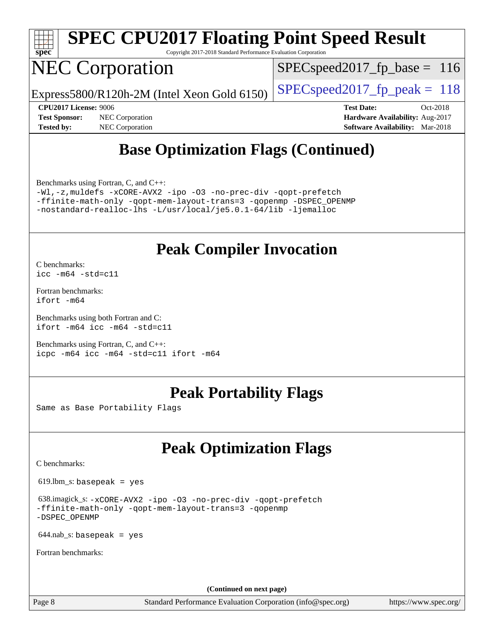

Copyright 2017-2018 Standard Performance Evaluation Corporation

## NEC Corporation

SPECspeed2017 fp base =  $116$ 

Express5800/R120h-2M (Intel Xeon Gold 6150) [SPECspeed2017\\_fp\\_peak =](http://www.spec.org/auto/cpu2017/Docs/result-fields.html#SPECspeed2017fppeak)  $118$ 

**[Tested by:](http://www.spec.org/auto/cpu2017/Docs/result-fields.html#Testedby)** NEC Corporation **[Software Availability:](http://www.spec.org/auto/cpu2017/Docs/result-fields.html#SoftwareAvailability)** Mar-2018

**[CPU2017 License:](http://www.spec.org/auto/cpu2017/Docs/result-fields.html#CPU2017License)** 9006 **[Test Date:](http://www.spec.org/auto/cpu2017/Docs/result-fields.html#TestDate)** Oct-2018 **[Test Sponsor:](http://www.spec.org/auto/cpu2017/Docs/result-fields.html#TestSponsor)** NEC Corporation **[Hardware Availability:](http://www.spec.org/auto/cpu2017/Docs/result-fields.html#HardwareAvailability)** Aug-2017

## **[Base Optimization Flags \(Continued\)](http://www.spec.org/auto/cpu2017/Docs/result-fields.html#BaseOptimizationFlags)**

[Benchmarks using Fortran, C, and C++:](http://www.spec.org/auto/cpu2017/Docs/result-fields.html#BenchmarksusingFortranCandCXX)

[-Wl,-z,muldefs](http://www.spec.org/cpu2017/results/res2018q4/cpu2017-20181029-09344.flags.html#user_CC_CXX_FCbase_link_force_multiple1_b4cbdb97b34bdee9ceefcfe54f4c8ea74255f0b02a4b23e853cdb0e18eb4525ac79b5a88067c842dd0ee6996c24547a27a4b99331201badda8798ef8a743f577) [-xCORE-AVX2](http://www.spec.org/cpu2017/results/res2018q4/cpu2017-20181029-09344.flags.html#user_CC_CXX_FCbase_f-xCORE-AVX2) [-ipo](http://www.spec.org/cpu2017/results/res2018q4/cpu2017-20181029-09344.flags.html#user_CC_CXX_FCbase_f-ipo) [-O3](http://www.spec.org/cpu2017/results/res2018q4/cpu2017-20181029-09344.flags.html#user_CC_CXX_FCbase_f-O3) [-no-prec-div](http://www.spec.org/cpu2017/results/res2018q4/cpu2017-20181029-09344.flags.html#user_CC_CXX_FCbase_f-no-prec-div) [-qopt-prefetch](http://www.spec.org/cpu2017/results/res2018q4/cpu2017-20181029-09344.flags.html#user_CC_CXX_FCbase_f-qopt-prefetch) [-ffinite-math-only](http://www.spec.org/cpu2017/results/res2018q4/cpu2017-20181029-09344.flags.html#user_CC_CXX_FCbase_f_finite_math_only_cb91587bd2077682c4b38af759c288ed7c732db004271a9512da14a4f8007909a5f1427ecbf1a0fb78ff2a814402c6114ac565ca162485bbcae155b5e4258871) [-qopt-mem-layout-trans=3](http://www.spec.org/cpu2017/results/res2018q4/cpu2017-20181029-09344.flags.html#user_CC_CXX_FCbase_f-qopt-mem-layout-trans_de80db37974c74b1f0e20d883f0b675c88c3b01e9d123adea9b28688d64333345fb62bc4a798493513fdb68f60282f9a726aa07f478b2f7113531aecce732043) [-qopenmp](http://www.spec.org/cpu2017/results/res2018q4/cpu2017-20181029-09344.flags.html#user_CC_CXX_FCbase_qopenmp_16be0c44f24f464004c6784a7acb94aca937f053568ce72f94b139a11c7c168634a55f6653758ddd83bcf7b8463e8028bb0b48b77bcddc6b78d5d95bb1df2967) [-DSPEC\\_OPENMP](http://www.spec.org/cpu2017/results/res2018q4/cpu2017-20181029-09344.flags.html#suite_CC_CXX_FCbase_DSPEC_OPENMP) [-nostandard-realloc-lhs](http://www.spec.org/cpu2017/results/res2018q4/cpu2017-20181029-09344.flags.html#user_CC_CXX_FCbase_f_2003_std_realloc_82b4557e90729c0f113870c07e44d33d6f5a304b4f63d4c15d2d0f1fab99f5daaed73bdb9275d9ae411527f28b936061aa8b9c8f2d63842963b95c9dd6426b8a) [-L/usr/local/je5.0.1-64/lib](http://www.spec.org/cpu2017/results/res2018q4/cpu2017-20181029-09344.flags.html#user_CC_CXX_FCbase_jemalloc_link_path64_4b10a636b7bce113509b17f3bd0d6226c5fb2346b9178c2d0232c14f04ab830f976640479e5c33dc2bcbbdad86ecfb6634cbbd4418746f06f368b512fced5394) [-ljemalloc](http://www.spec.org/cpu2017/results/res2018q4/cpu2017-20181029-09344.flags.html#user_CC_CXX_FCbase_jemalloc_link_lib_d1249b907c500fa1c0672f44f562e3d0f79738ae9e3c4a9c376d49f265a04b9c99b167ecedbf6711b3085be911c67ff61f150a17b3472be731631ba4d0471706)

### **[Peak Compiler Invocation](http://www.spec.org/auto/cpu2017/Docs/result-fields.html#PeakCompilerInvocation)**

[C benchmarks](http://www.spec.org/auto/cpu2017/Docs/result-fields.html#Cbenchmarks): [icc -m64 -std=c11](http://www.spec.org/cpu2017/results/res2018q4/cpu2017-20181029-09344.flags.html#user_CCpeak_intel_icc_64bit_c11_33ee0cdaae7deeeab2a9725423ba97205ce30f63b9926c2519791662299b76a0318f32ddfffdc46587804de3178b4f9328c46fa7c2b0cd779d7a61945c91cd35)

[Fortran benchmarks](http://www.spec.org/auto/cpu2017/Docs/result-fields.html#Fortranbenchmarks): [ifort -m64](http://www.spec.org/cpu2017/results/res2018q4/cpu2017-20181029-09344.flags.html#user_FCpeak_intel_ifort_64bit_24f2bb282fbaeffd6157abe4f878425411749daecae9a33200eee2bee2fe76f3b89351d69a8130dd5949958ce389cf37ff59a95e7a40d588e8d3a57e0c3fd751)

[Benchmarks using both Fortran and C](http://www.spec.org/auto/cpu2017/Docs/result-fields.html#BenchmarksusingbothFortranandC): [ifort -m64](http://www.spec.org/cpu2017/results/res2018q4/cpu2017-20181029-09344.flags.html#user_CC_FCpeak_intel_ifort_64bit_24f2bb282fbaeffd6157abe4f878425411749daecae9a33200eee2bee2fe76f3b89351d69a8130dd5949958ce389cf37ff59a95e7a40d588e8d3a57e0c3fd751) [icc -m64 -std=c11](http://www.spec.org/cpu2017/results/res2018q4/cpu2017-20181029-09344.flags.html#user_CC_FCpeak_intel_icc_64bit_c11_33ee0cdaae7deeeab2a9725423ba97205ce30f63b9926c2519791662299b76a0318f32ddfffdc46587804de3178b4f9328c46fa7c2b0cd779d7a61945c91cd35)

[Benchmarks using Fortran, C, and C++:](http://www.spec.org/auto/cpu2017/Docs/result-fields.html#BenchmarksusingFortranCandCXX) [icpc -m64](http://www.spec.org/cpu2017/results/res2018q4/cpu2017-20181029-09344.flags.html#user_CC_CXX_FCpeak_intel_icpc_64bit_4ecb2543ae3f1412ef961e0650ca070fec7b7afdcd6ed48761b84423119d1bf6bdf5cad15b44d48e7256388bc77273b966e5eb805aefd121eb22e9299b2ec9d9) [icc -m64 -std=c11](http://www.spec.org/cpu2017/results/res2018q4/cpu2017-20181029-09344.flags.html#user_CC_CXX_FCpeak_intel_icc_64bit_c11_33ee0cdaae7deeeab2a9725423ba97205ce30f63b9926c2519791662299b76a0318f32ddfffdc46587804de3178b4f9328c46fa7c2b0cd779d7a61945c91cd35) [ifort -m64](http://www.spec.org/cpu2017/results/res2018q4/cpu2017-20181029-09344.flags.html#user_CC_CXX_FCpeak_intel_ifort_64bit_24f2bb282fbaeffd6157abe4f878425411749daecae9a33200eee2bee2fe76f3b89351d69a8130dd5949958ce389cf37ff59a95e7a40d588e8d3a57e0c3fd751)

### **[Peak Portability Flags](http://www.spec.org/auto/cpu2017/Docs/result-fields.html#PeakPortabilityFlags)**

Same as Base Portability Flags

## **[Peak Optimization Flags](http://www.spec.org/auto/cpu2017/Docs/result-fields.html#PeakOptimizationFlags)**

[C benchmarks](http://www.spec.org/auto/cpu2017/Docs/result-fields.html#Cbenchmarks):

619.lbm\_s: basepeak = yes

 638.imagick\_s: [-xCORE-AVX2](http://www.spec.org/cpu2017/results/res2018q4/cpu2017-20181029-09344.flags.html#user_peakCOPTIMIZE638_imagick_s_f-xCORE-AVX2) [-ipo](http://www.spec.org/cpu2017/results/res2018q4/cpu2017-20181029-09344.flags.html#user_peakCOPTIMIZE638_imagick_s_f-ipo) [-O3](http://www.spec.org/cpu2017/results/res2018q4/cpu2017-20181029-09344.flags.html#user_peakCOPTIMIZE638_imagick_s_f-O3) [-no-prec-div](http://www.spec.org/cpu2017/results/res2018q4/cpu2017-20181029-09344.flags.html#user_peakCOPTIMIZE638_imagick_s_f-no-prec-div) [-qopt-prefetch](http://www.spec.org/cpu2017/results/res2018q4/cpu2017-20181029-09344.flags.html#user_peakCOPTIMIZE638_imagick_s_f-qopt-prefetch) [-ffinite-math-only](http://www.spec.org/cpu2017/results/res2018q4/cpu2017-20181029-09344.flags.html#user_peakCOPTIMIZE638_imagick_s_f_finite_math_only_cb91587bd2077682c4b38af759c288ed7c732db004271a9512da14a4f8007909a5f1427ecbf1a0fb78ff2a814402c6114ac565ca162485bbcae155b5e4258871) [-qopt-mem-layout-trans=3](http://www.spec.org/cpu2017/results/res2018q4/cpu2017-20181029-09344.flags.html#user_peakCOPTIMIZE638_imagick_s_f-qopt-mem-layout-trans_de80db37974c74b1f0e20d883f0b675c88c3b01e9d123adea9b28688d64333345fb62bc4a798493513fdb68f60282f9a726aa07f478b2f7113531aecce732043) [-qopenmp](http://www.spec.org/cpu2017/results/res2018q4/cpu2017-20181029-09344.flags.html#user_peakCOPTIMIZE638_imagick_s_qopenmp_16be0c44f24f464004c6784a7acb94aca937f053568ce72f94b139a11c7c168634a55f6653758ddd83bcf7b8463e8028bb0b48b77bcddc6b78d5d95bb1df2967) [-DSPEC\\_OPENMP](http://www.spec.org/cpu2017/results/res2018q4/cpu2017-20181029-09344.flags.html#suite_peakCOPTIMIZE638_imagick_s_DSPEC_OPENMP)

 $644$ .nab\_s: basepeak = yes

[Fortran benchmarks](http://www.spec.org/auto/cpu2017/Docs/result-fields.html#Fortranbenchmarks):

**(Continued on next page)**

Page 8 Standard Performance Evaluation Corporation [\(info@spec.org\)](mailto:info@spec.org) <https://www.spec.org/>